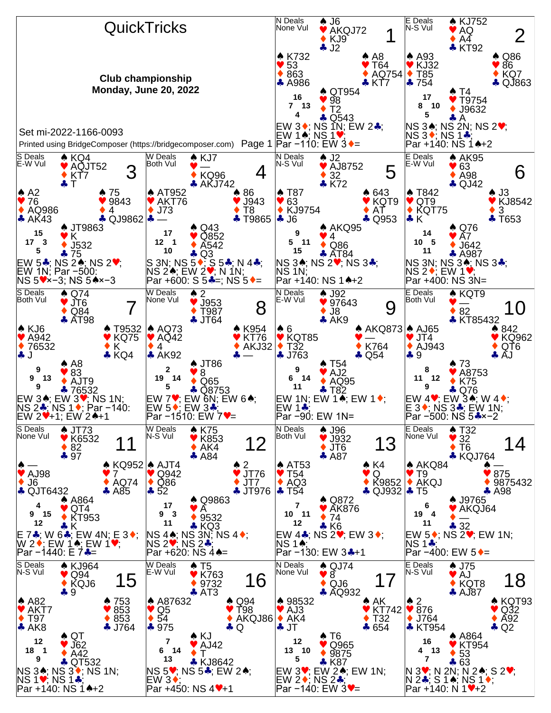